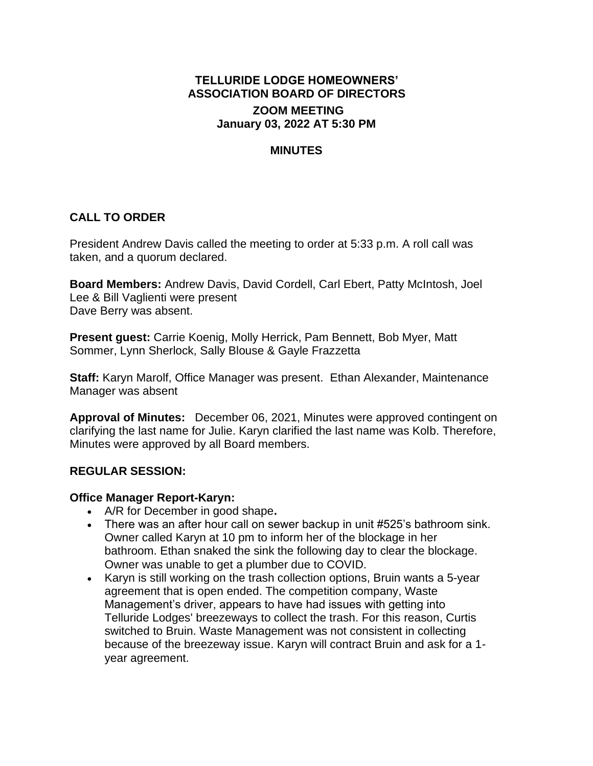# **TELLURIDE LODGE HOMEOWNERS' ASSOCIATION BOARD OF DIRECTORS ZOOM MEETING January 03, 2022 AT 5:30 PM**

## **MINUTES**

# **CALL TO ORDER**

President Andrew Davis called the meeting to order at 5:33 p.m. A roll call was taken, and a quorum declared.

**Board Members:** Andrew Davis, David Cordell, Carl Ebert, Patty McIntosh, Joel Lee & Bill Vaglienti were present Dave Berry was absent.

**Present guest:** Carrie Koenig, Molly Herrick, Pam Bennett, Bob Myer, Matt Sommer, Lynn Sherlock, Sally Blouse & Gayle Frazzetta

**Staff:** Karyn Marolf, Office Manager was present. Ethan Alexander, Maintenance Manager was absent

**Approval of Minutes:** December 06, 2021, Minutes were approved contingent on clarifying the last name for Julie. Karyn clarified the last name was Kolb. Therefore, Minutes were approved by all Board members.

### **REGULAR SESSION:**

#### **Office Manager Report-Karyn:**

- A/R for December in good shape**.**
- There was an after hour call on sewer backup in unit #525's bathroom sink. Owner called Karyn at 10 pm to inform her of the blockage in her bathroom. Ethan snaked the sink the following day to clear the blockage. Owner was unable to get a plumber due to COVID.
- Karyn is still working on the trash collection options, Bruin wants a 5-year agreement that is open ended. The competition company, Waste Management's driver, appears to have had issues with getting into Telluride Lodges' breezeways to collect the trash. For this reason, Curtis switched to Bruin. Waste Management was not consistent in collecting because of the breezeway issue. Karyn will contract Bruin and ask for a 1 year agreement.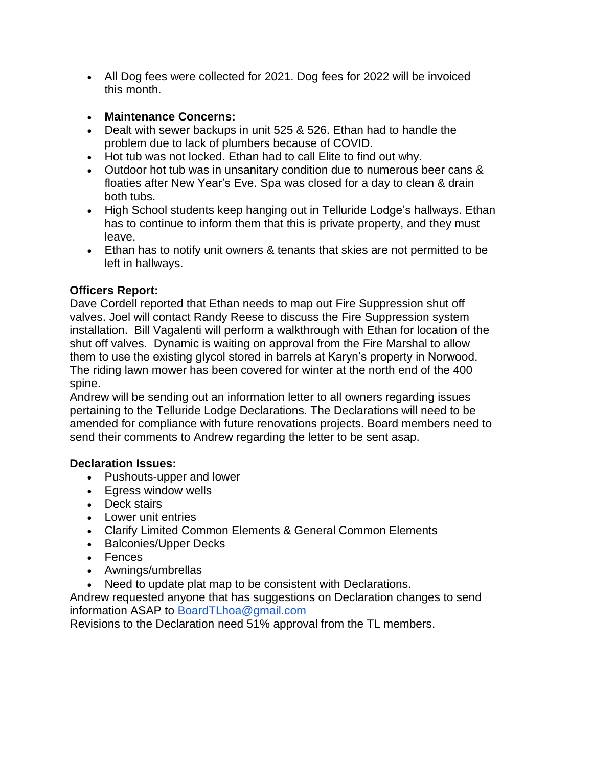- All Dog fees were collected for 2021. Dog fees for 2022 will be invoiced this month.
- **Maintenance Concerns:**
- Dealt with sewer backups in unit 525 & 526. Ethan had to handle the problem due to lack of plumbers because of COVID.
- Hot tub was not locked. Ethan had to call Elite to find out why.
- Outdoor hot tub was in unsanitary condition due to numerous beer cans & floaties after New Year's Eve. Spa was closed for a day to clean & drain both tubs.
- High School students keep hanging out in Telluride Lodge's hallways. Ethan has to continue to inform them that this is private property, and they must leave.
- Ethan has to notify unit owners & tenants that skies are not permitted to be left in hallways.

# **Officers Report:**

Dave Cordell reported that Ethan needs to map out Fire Suppression shut off valves. Joel will contact Randy Reese to discuss the Fire Suppression system installation. Bill Vagalenti will perform a walkthrough with Ethan for location of the shut off valves. Dynamic is waiting on approval from the Fire Marshal to allow them to use the existing glycol stored in barrels at Karyn's property in Norwood. The riding lawn mower has been covered for winter at the north end of the 400 spine.

Andrew will be sending out an information letter to all owners regarding issues pertaining to the Telluride Lodge Declarations. The Declarations will need to be amended for compliance with future renovations projects. Board members need to send their comments to Andrew regarding the letter to be sent asap.

# **Declaration Issues:**

- Pushouts-upper and lower
- Egress window wells
- Deck stairs
- Lower unit entries
- Clarify Limited Common Elements & General Common Elements
- Balconies/Upper Decks
- Fences
- Awnings/umbrellas
- Need to update plat map to be consistent with Declarations.

Andrew requested anyone that has suggestions on Declaration changes to send information ASAP to [BoardTLhoa@gmail.com](mailto:BoardTLhoa@gmail.com)

Revisions to the Declaration need 51% approval from the TL members.